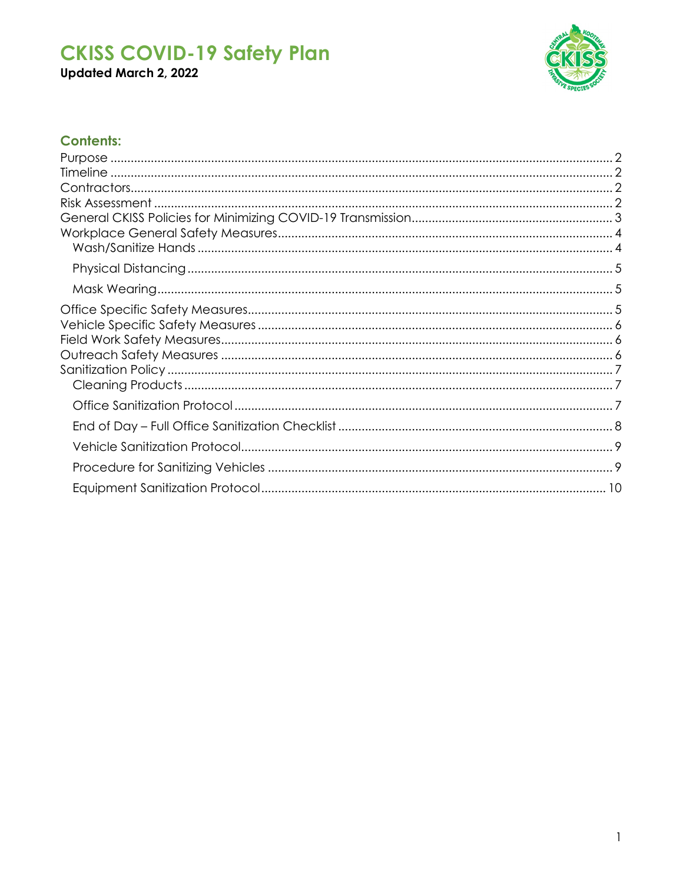Updated March 2, 2022



### **Contents:**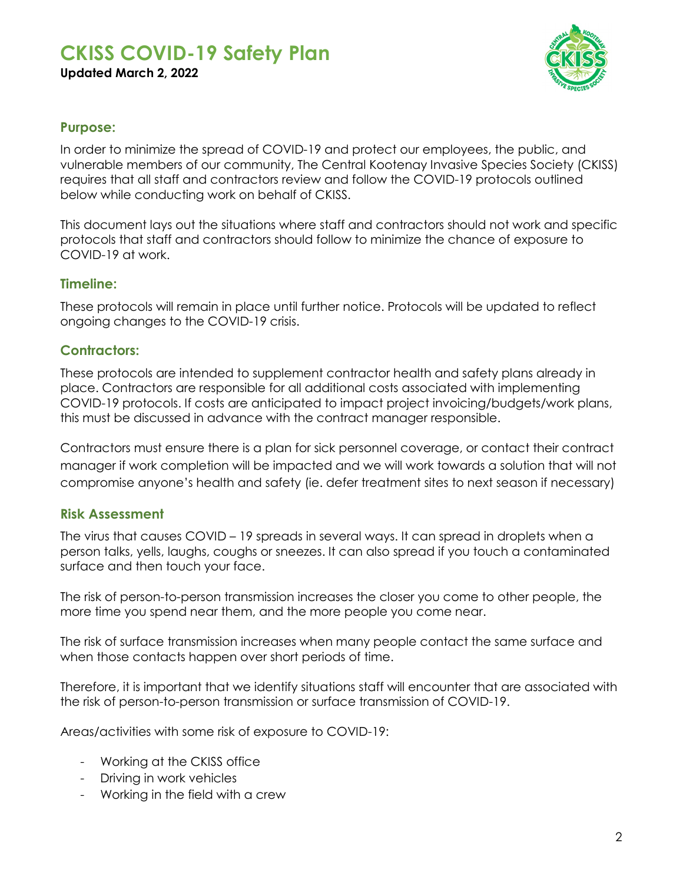

#### <span id="page-1-0"></span>**Purpose:**

In order to minimize the spread of COVID-19 and protect our employees, the public, and vulnerable members of our community, The Central Kootenay Invasive Species Society (CKISS) requires that all staff and contractors review and follow the COVID-19 protocols outlined below while conducting work on behalf of CKISS.

This document lays out the situations where staff and contractors should not work and specific protocols that staff and contractors should follow to minimize the chance of exposure to COVID-19 at work.

#### <span id="page-1-1"></span>**Timeline:**

These protocols will remain in place until further notice. Protocols will be updated to reflect ongoing changes to the COVID-19 crisis.

#### <span id="page-1-2"></span>**Contractors:**

These protocols are intended to supplement contractor health and safety plans already in place. Contractors are responsible for all additional costs associated with implementing COVID-19 protocols. If costs are anticipated to impact project invoicing/budgets/work plans, this must be discussed in advance with the contract manager responsible.

Contractors must ensure there is a plan for sick personnel coverage, or contact their contract manager if work completion will be impacted and we will work towards a solution that will not compromise anyone's health and safety (ie. defer treatment sites to next season if necessary)

#### <span id="page-1-3"></span>**Risk Assessment**

The virus that causes COVID – 19 spreads in several ways. It can spread in droplets when a person talks, yells, laughs, coughs or sneezes. It can also spread if you touch a contaminated surface and then touch your face.

The risk of person-to-person transmission increases the closer you come to other people, the more time you spend near them, and the more people you come near.

The risk of surface transmission increases when many people contact the same surface and when those contacts happen over short periods of time.

Therefore, it is important that we identify situations staff will encounter that are associated with the risk of person-to-person transmission or surface transmission of COVID-19.

Areas/activities with some risk of exposure to COVID-19:

- Working at the CKISS office
- Driving in work vehicles
- Working in the field with a crew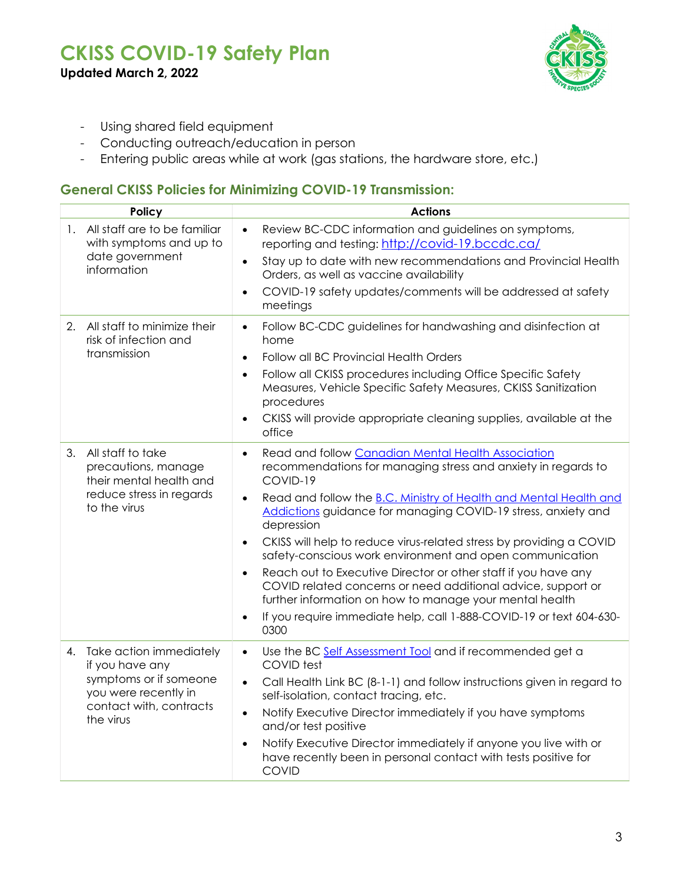**Updated March 2, 2022**



- Using shared field equipment
- Conducting outreach/education in person
- Entering public areas while at work (gas stations, the hardware store, etc.)

#### <span id="page-2-0"></span>**General CKISS Policies for Minimizing COVID-19 Transmission:**

| Policy                                         |                                          | <b>Actions</b>                                                                                                                                                                            |  |  |  |  |
|------------------------------------------------|------------------------------------------|-------------------------------------------------------------------------------------------------------------------------------------------------------------------------------------------|--|--|--|--|
| 1. All staff are to be familiar                | $\bullet$<br>with symptoms and up to     | Review BC-CDC information and guidelines on symptoms,<br>reporting and testing: http://covid-19.bccdc.ca/                                                                                 |  |  |  |  |
| date government<br>information                 | $\bullet$                                | Stay up to date with new recommendations and Provincial Health<br>Orders, as well as vaccine availability                                                                                 |  |  |  |  |
|                                                | $\bullet$                                | COVID-19 safety updates/comments will be addressed at safety<br>meetings                                                                                                                  |  |  |  |  |
| 2.<br>risk of infection and                    | All staff to minimize their<br>$\bullet$ | Follow BC-CDC guidelines for handwashing and disinfection at<br>home                                                                                                                      |  |  |  |  |
| transmission                                   | $\bullet$                                | Follow all BC Provincial Health Orders                                                                                                                                                    |  |  |  |  |
|                                                | $\bullet$                                | Follow all CKISS procedures including Office Specific Safety<br>Measures, Vehicle Specific Safety Measures, CKISS Sanitization<br>procedures                                              |  |  |  |  |
|                                                |                                          | CKISS will provide appropriate cleaning supplies, available at the<br>office                                                                                                              |  |  |  |  |
| All staff to take<br>3.<br>precautions, manage | $\bullet$<br>their mental health and     | Read and follow Canadian Mental Health Association<br>recommendations for managing stress and anxiety in regards to<br>COVID-19                                                           |  |  |  |  |
| to the virus                                   | reduce stress in regards<br>$\bullet$    | Read and follow the B.C. Ministry of Health and Mental Health and<br>Addictions guidance for managing COVID-19 stress, anxiety and<br>depression                                          |  |  |  |  |
|                                                |                                          | CKISS will help to reduce virus-related stress by providing a COVID<br>safety-conscious work environment and open communication                                                           |  |  |  |  |
|                                                |                                          | Reach out to Executive Director or other staff if you have any<br>COVID related concerns or need additional advice, support or<br>further information on how to manage your mental health |  |  |  |  |
|                                                | $\bullet$                                | If you require immediate help, call 1-888-COVID-19 or text 604-630-<br>0300                                                                                                               |  |  |  |  |
| 4. Take action immediately<br>if you have any  | $\bullet$                                | Use the BC Self Assessment Tool and if recommended get a<br>COVID test                                                                                                                    |  |  |  |  |
| you were recently in                           | symptoms or if someone<br>$\bullet$      | Call Health Link BC (8-1-1) and follow instructions given in regard to<br>self-isolation, contact tracing, etc.                                                                           |  |  |  |  |
| the virus                                      | contact with, contracts<br>$\bullet$     | Notify Executive Director immediately if you have symptoms<br>and/or test positive                                                                                                        |  |  |  |  |
|                                                |                                          | Notify Executive Director immediately if anyone you live with or<br>have recently been in personal contact with tests positive for<br><b>COVID</b>                                        |  |  |  |  |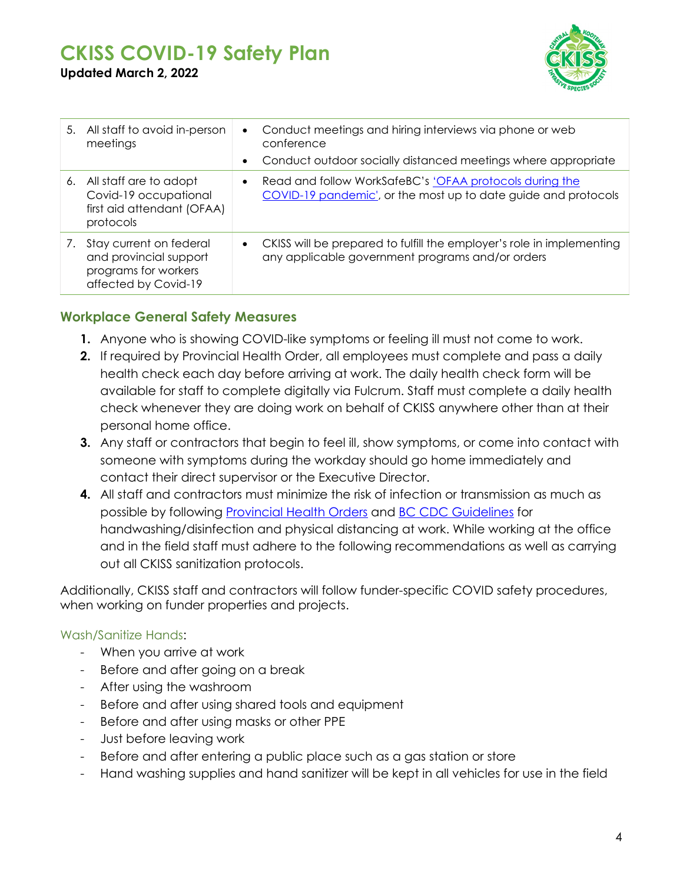

| 5. All staff to avoid in-person<br>meetings                                                          | $\bullet$<br>$\bullet$ | Conduct meetings and hiring interviews via phone or web<br>conference<br>Conduct outdoor socially distanced meetings where appropriate |
|------------------------------------------------------------------------------------------------------|------------------------|----------------------------------------------------------------------------------------------------------------------------------------|
| 6. All staff are to adopt<br>Covid-19 occupational<br>first aid attendant (OFAA)<br>protocols        | $\bullet$              | Read and follow WorkSafeBC's 'OFAA protocols during the<br>COVID-19 pandemic', or the most up to date guide and protocols              |
| 7. Stay current on federal<br>and provincial support<br>programs for workers<br>affected by Covid-19 | $\bullet$              | CKISS will be prepared to fulfill the employer's role in implementing<br>any applicable government programs and/or orders              |

#### <span id="page-3-0"></span>**Workplace General Safety Measures**

- **1.** Anyone who is showing COVID-like symptoms or feeling ill must not come to work.
- **2.** If required by Provincial Health Order, all employees must complete and pass a daily health check each day before arriving at work. The daily health check form will be available for staff to complete digitally via Fulcrum. Staff must complete a daily health check whenever they are doing work on behalf of CKISS anywhere other than at their personal home office.
- **3.** Any staff or contractors that begin to feel ill, show symptoms, or come into contact with someone with symptoms during the workday should go home immediately and contact their direct supervisor or the Executive Director.
- **4.** All staff and contractors must minimize the risk of infection or transmission as much as possible by following [Provincial Health Orders](https://www2.gov.bc.ca/gov/content/covid-19/info/restrictions) and [BC CDC Guidelines](http://www.bccdc.ca/health-info/diseases-conditions/covid-19/about-covid-19/if-you-are-sick) for handwashing/disinfection and physical distancing at work. While working at the office and in the field staff must adhere to the following recommendations as well as carrying out all CKISS sanitization protocols.

Additionally, CKISS staff and contractors will follow funder-specific COVID safety procedures, when working on funder properties and projects.

#### <span id="page-3-1"></span>Wash/Sanitize Hands:

- When you arrive at work
- Before and after going on a break
- After using the washroom
- Before and after using shared tools and equipment
- Before and after using masks or other PPE
- Just before leaving work
- Before and after entering a public place such as a gas station or store
- Hand washing supplies and hand sanitizer will be kept in all vehicles for use in the field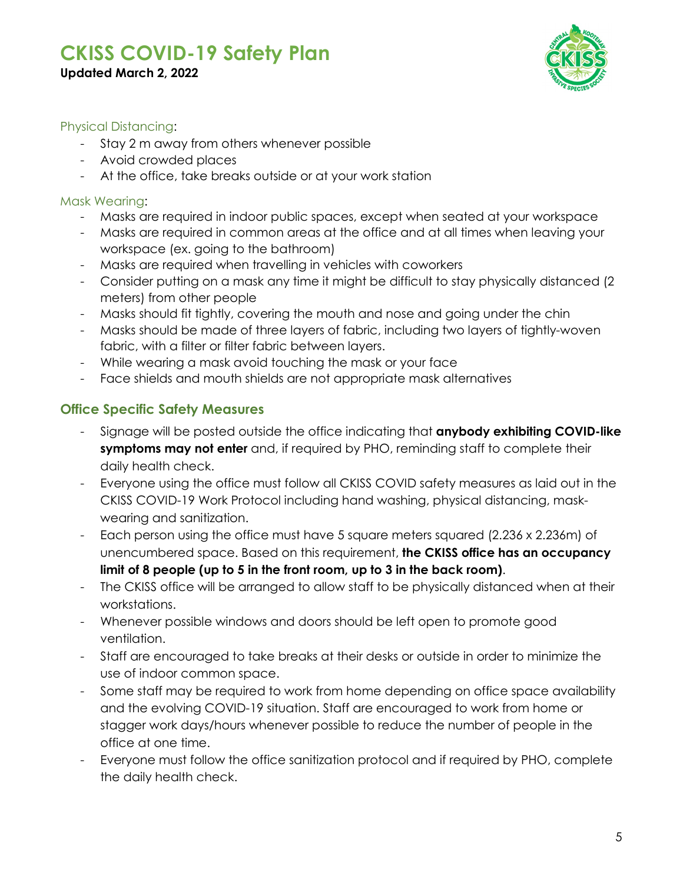**Updated March 2, 2022**



#### <span id="page-4-0"></span>Physical Distancing:

- Stay 2 m away from others whenever possible
- Avoid crowded places
- At the office, take breaks outside or at your work station

#### <span id="page-4-1"></span>Mask Wearing:

- Masks are required in indoor public spaces, except when seated at your workspace
- Masks are required in common areas at the office and at all times when leaving your workspace (ex. going to the bathroom)
- Masks are required when travelling in vehicles with coworkers
- Consider putting on a mask any time it might be difficult to stay physically distanced (2 meters) from other people
- Masks should fit tightly, covering the mouth and nose and going under the chin
- Masks should be made of three layers of fabric, including two layers of tightly-woven fabric, with a filter or filter fabric between layers.
- While wearing a mask avoid touching the mask or your face
- Face shields and mouth shields are not appropriate mask alternatives

#### <span id="page-4-2"></span>**Office Specific Safety Measures**

- Signage will be posted outside the office indicating that **anybody exhibiting COVID-like symptoms may not enter** and, if required by PHO, reminding staff to complete their daily health check.
- Everyone using the office must follow all CKISS COVID safety measures as laid out in the CKISS COVID-19 Work Protocol including hand washing, physical distancing, maskwearing and sanitization.
- Each person using the office must have 5 square meters squared (2.236 x 2.236m) of unencumbered space. Based on this requirement, **the CKISS office has an occupancy limit of 8 people (up to 5 in the front room, up to 3 in the back room)**.
- The CKISS office will be arranged to allow staff to be physically distanced when at their workstations.
- Whenever possible windows and doors should be left open to promote good ventilation.
- Staff are encouraged to take breaks at their desks or outside in order to minimize the use of indoor common space.
- Some staff may be required to work from home depending on office space availability and the evolving COVID-19 situation. Staff are encouraged to work from home or stagger work days/hours whenever possible to reduce the number of people in the office at one time.
- Everyone must follow the office sanitization protocol and if required by PHO, complete the daily health check.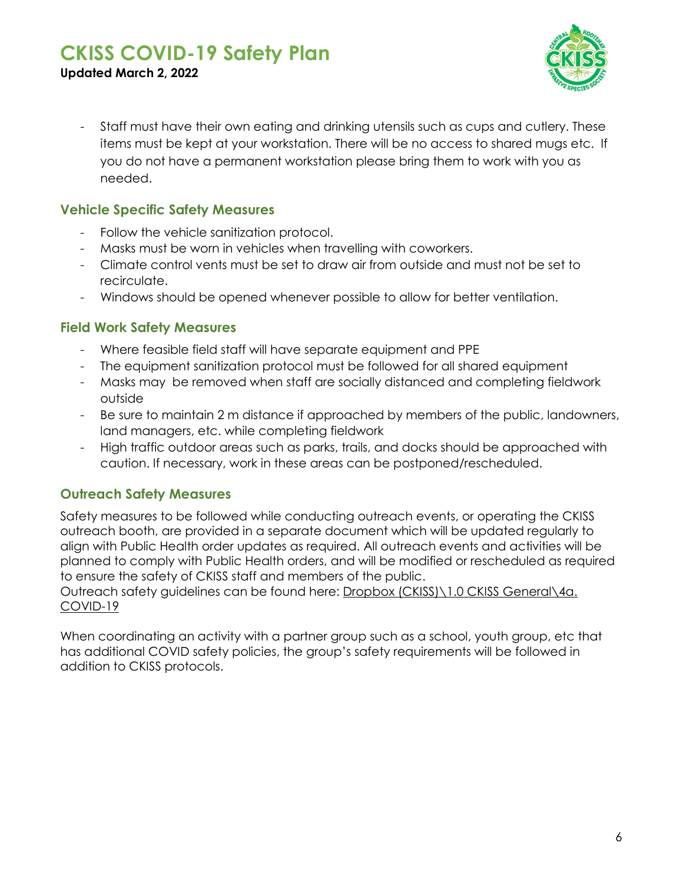

- **Updated March 2, 2022**
	- Staff must have their own eating and drinking utensils such as cups and cutlery. These items must be kept at your workstation. There will be no access to shared mugs etc. If you do not have a permanent workstation please bring them to work with you as needed.

#### <span id="page-5-0"></span>**Vehicle Specific Safety Measures**

- Follow the vehicle sanitization protocol.
- Masks must be worn in vehicles when travelling with coworkers.
- Climate control vents must be set to draw air from outside and must not be set to recirculate.
- Windows should be opened whenever possible to allow for better ventilation.

#### <span id="page-5-1"></span>**Field Work Safety Measures**

- Where feasible field staff will have separate equipment and PPE
- The equipment sanitization protocol must be followed for all shared equipment
- Masks may be removed when staff are socially distanced and completing fieldwork outside
- Be sure to maintain 2 m distance if approached by members of the public, landowners, land managers, etc. while completing fieldwork
- High traffic outdoor areas such as parks, trails, and docks should be approached with caution. If necessary, work in these areas can be postponed/rescheduled.

#### <span id="page-5-2"></span>**Outreach Safety Measures**

Safety measures to be followed while conducting outreach events, or operating the CKISS outreach booth, are provided in a separate document which will be updated regularly to align with Public Health order updates as required. All outreach events and activities will be planned to comply with Public Health orders, and will be modified or rescheduled as required to ensure the safety of CKISS staff and members of the public.

Outreach safety guidelines can be found here: Dropbox (CKISS)\1.0 CKISS General\4a. COVID-19

When coordinating an activity with a partner group such as a school, youth group, etc that has additional COVID safety policies, the group's safety requirements will be followed in addition to CKISS protocols.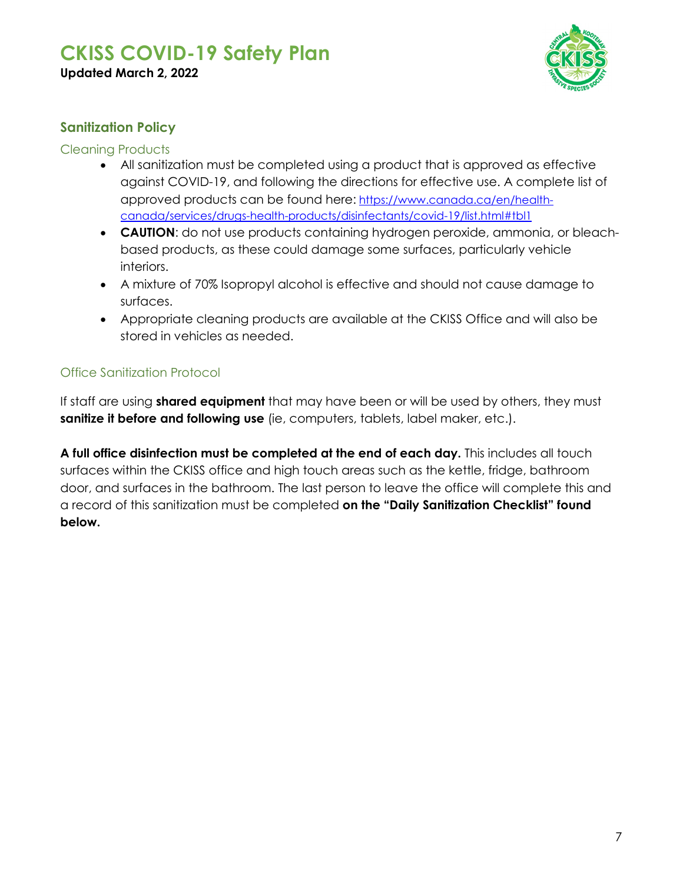

#### <span id="page-6-0"></span>**Sanitization Policy**

#### <span id="page-6-1"></span>Cleaning Products

- All sanitization must be completed using a product that is approved as effective against COVID-19, and following the directions for effective use. A complete list of approved products can be found here: [https://www.canada.ca/en/health](https://www.canada.ca/en/health-canada/services/drugs-health-products/disinfectants/covid-19/list.html#tbl1)[canada/services/drugs-health-products/disinfectants/covid-19/list.html#tbl1](https://www.canada.ca/en/health-canada/services/drugs-health-products/disinfectants/covid-19/list.html#tbl1)
- **CAUTION**: do not use products containing hydrogen peroxide, ammonia, or bleachbased products, as these could damage some surfaces, particularly vehicle interiors.
- A mixture of 70% Isopropyl alcohol is effective and should not cause damage to surfaces.
- Appropriate cleaning products are available at the CKISS Office and will also be stored in vehicles as needed.

#### <span id="page-6-2"></span>Office Sanitization Protocol

If staff are using **shared equipment** that may have been or will be used by others, they must **sanitize it before and following use** (ie, computers, tablets, label maker, etc.).

**A full office disinfection must be completed at the end of each day.** This includes all touch surfaces within the CKISS office and high touch areas such as the kettle, fridge, bathroom door, and surfaces in the bathroom. The last person to leave the office will complete this and a record of this sanitization must be completed **on the "Daily Sanitization Checklist" found below.**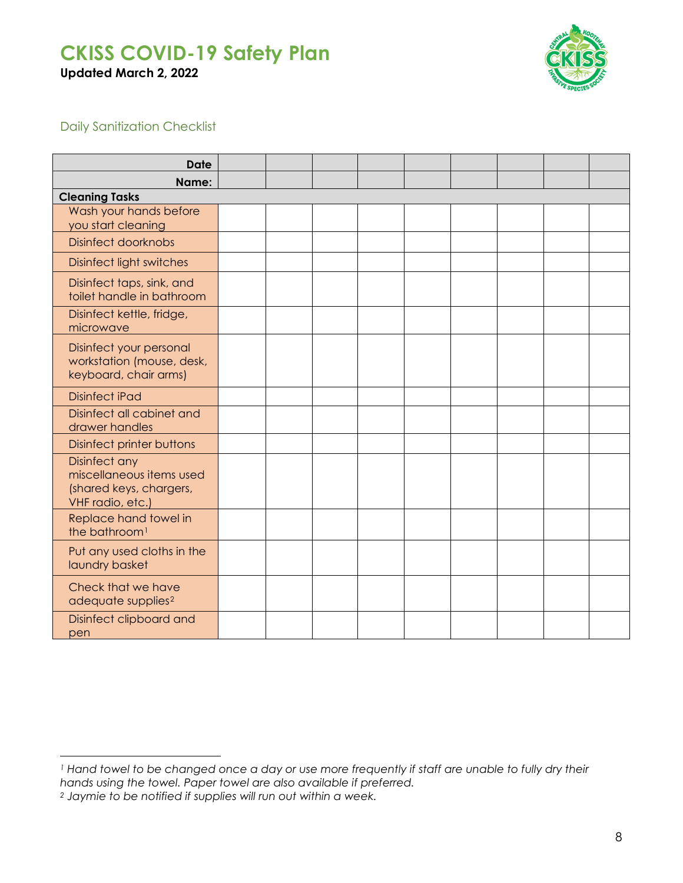**Updated March 2, 2022**



#### <span id="page-7-0"></span>Daily Sanitization Checklist

| <b>Date</b>                                                                              |  |  |  |  |  |  |  |  |
|------------------------------------------------------------------------------------------|--|--|--|--|--|--|--|--|
| Name:                                                                                    |  |  |  |  |  |  |  |  |
| <b>Cleaning Tasks</b>                                                                    |  |  |  |  |  |  |  |  |
| Wash your hands before<br>you start cleaning                                             |  |  |  |  |  |  |  |  |
| <b>Disinfect doorknobs</b>                                                               |  |  |  |  |  |  |  |  |
| <b>Disinfect light switches</b>                                                          |  |  |  |  |  |  |  |  |
| Disinfect taps, sink, and<br>toilet handle in bathroom                                   |  |  |  |  |  |  |  |  |
| Disinfect kettle, fridge,<br>microwave                                                   |  |  |  |  |  |  |  |  |
| Disinfect your personal<br>workstation (mouse, desk,<br>keyboard, chair arms)            |  |  |  |  |  |  |  |  |
| <b>Disinfect iPad</b>                                                                    |  |  |  |  |  |  |  |  |
| Disinfect all cabinet and<br>drawer handles                                              |  |  |  |  |  |  |  |  |
| <b>Disinfect printer buttons</b>                                                         |  |  |  |  |  |  |  |  |
| Disinfect any<br>miscellaneous items used<br>(shared keys, chargers,<br>VHF radio, etc.) |  |  |  |  |  |  |  |  |
| Replace hand towel in<br>the bathroom <sup>1</sup>                                       |  |  |  |  |  |  |  |  |
| Put any used cloths in the<br>laundry basket                                             |  |  |  |  |  |  |  |  |
| Check that we have<br>adequate supplies <sup>2</sup>                                     |  |  |  |  |  |  |  |  |
| Disinfect clipboard and<br>pen                                                           |  |  |  |  |  |  |  |  |

<span id="page-7-1"></span> $\overline{a}$ *<sup>1</sup> Hand towel to be changed once a day or use more frequently if staff are unable to fully dry their hands using the towel. Paper towel are also available if preferred.* 

<span id="page-7-2"></span>*<sup>2</sup> Jaymie to be notified if supplies will run out within a week.*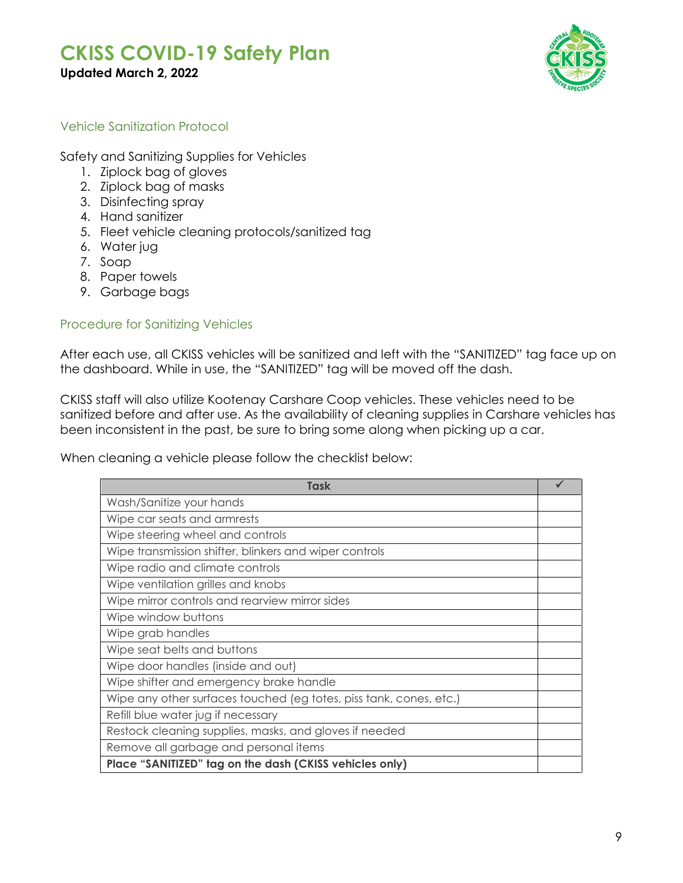

# <span id="page-8-0"></span>Vehicle Sanitization Protocol

Safety and Sanitizing Supplies for Vehicles

- 1. Ziplock bag of gloves
- 2. Ziplock bag of masks
- 3. Disinfecting spray
- 4. Hand sanitizer
- 5. Fleet vehicle cleaning protocols/sanitized tag
- 6. Water jug
- 7. Soap
- 8. Paper towels
- 9. Garbage bags

#### <span id="page-8-1"></span>Procedure for Sanitizing Vehicles

After each use, all CKISS vehicles will be sanitized and left with the "SANITIZED" tag face up on the dashboard. While in use, the "SANITIZED" tag will be moved off the dash.

CKISS staff will also utilize Kootenay Carshare Coop vehicles. These vehicles need to be sanitized before and after use. As the availability of cleaning supplies in Carshare vehicles has been inconsistent in the past, be sure to bring some along when picking up a car.

When cleaning a vehicle please follow the checklist below:

| Task                                                               |  |
|--------------------------------------------------------------------|--|
| Wash/Sanitize your hands                                           |  |
| Wipe car seats and armrests                                        |  |
| Wipe steering wheel and controls                                   |  |
| Wipe transmission shifter, blinkers and wiper controls             |  |
| Wipe radio and climate controls                                    |  |
| Wipe ventilation grilles and knobs                                 |  |
| Wipe mirror controls and rearview mirror sides                     |  |
| Wipe window buttons                                                |  |
| Wipe grab handles                                                  |  |
| Wipe seat belts and buttons                                        |  |
| Wipe door handles (inside and out)                                 |  |
| Wipe shifter and emergency brake handle                            |  |
| Wipe any other surfaces touched (eg totes, piss tank, cones, etc.) |  |
| Refill blue water jug if necessary                                 |  |
| Restock cleaning supplies, masks, and gloves if needed             |  |
| Remove all garbage and personal items                              |  |
| Place "SANITIZED" tag on the dash (CKISS vehicles only)            |  |